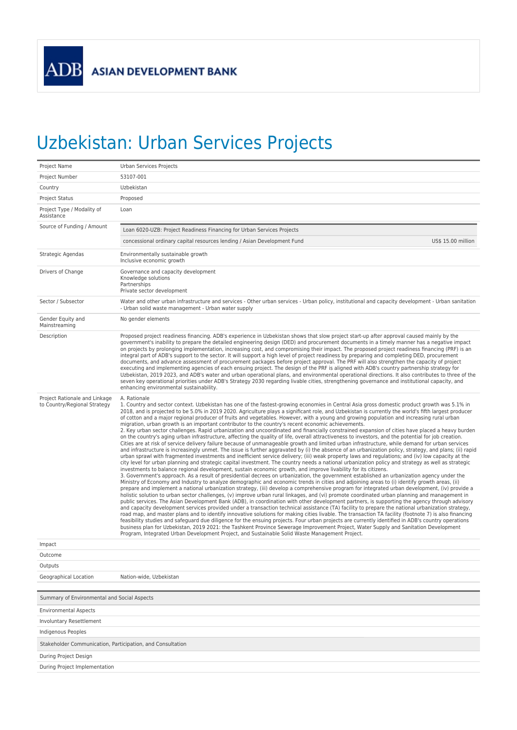## Uzbekistan: Urban Services Projects

| Project Name                                                  | <b>Urban Services Projects</b>                                                                                                                                                                                                                                                                                                                                                                                                                                                                                                                                                                                                                                                                                                                                                                                                                                                                                                                                                                                                                                                                                                                                                                                                                                                                                                                                                                                                                                                                                                                                                                                                                                                                                                                                                                                                                                                                                                                                                                                                                                                                                                                                                                                                                                                                                                                                                                                                                                                                                                                                                                                                                                                                                                                                                                                                                                                                                                                                                                                                                                                               |
|---------------------------------------------------------------|----------------------------------------------------------------------------------------------------------------------------------------------------------------------------------------------------------------------------------------------------------------------------------------------------------------------------------------------------------------------------------------------------------------------------------------------------------------------------------------------------------------------------------------------------------------------------------------------------------------------------------------------------------------------------------------------------------------------------------------------------------------------------------------------------------------------------------------------------------------------------------------------------------------------------------------------------------------------------------------------------------------------------------------------------------------------------------------------------------------------------------------------------------------------------------------------------------------------------------------------------------------------------------------------------------------------------------------------------------------------------------------------------------------------------------------------------------------------------------------------------------------------------------------------------------------------------------------------------------------------------------------------------------------------------------------------------------------------------------------------------------------------------------------------------------------------------------------------------------------------------------------------------------------------------------------------------------------------------------------------------------------------------------------------------------------------------------------------------------------------------------------------------------------------------------------------------------------------------------------------------------------------------------------------------------------------------------------------------------------------------------------------------------------------------------------------------------------------------------------------------------------------------------------------------------------------------------------------------------------------------------------------------------------------------------------------------------------------------------------------------------------------------------------------------------------------------------------------------------------------------------------------------------------------------------------------------------------------------------------------------------------------------------------------------------------------------------------------|
| Project Number                                                | 53107-001                                                                                                                                                                                                                                                                                                                                                                                                                                                                                                                                                                                                                                                                                                                                                                                                                                                                                                                                                                                                                                                                                                                                                                                                                                                                                                                                                                                                                                                                                                                                                                                                                                                                                                                                                                                                                                                                                                                                                                                                                                                                                                                                                                                                                                                                                                                                                                                                                                                                                                                                                                                                                                                                                                                                                                                                                                                                                                                                                                                                                                                                                    |
| Country                                                       | Uzbekistan                                                                                                                                                                                                                                                                                                                                                                                                                                                                                                                                                                                                                                                                                                                                                                                                                                                                                                                                                                                                                                                                                                                                                                                                                                                                                                                                                                                                                                                                                                                                                                                                                                                                                                                                                                                                                                                                                                                                                                                                                                                                                                                                                                                                                                                                                                                                                                                                                                                                                                                                                                                                                                                                                                                                                                                                                                                                                                                                                                                                                                                                                   |
| Project Status                                                | Proposed                                                                                                                                                                                                                                                                                                                                                                                                                                                                                                                                                                                                                                                                                                                                                                                                                                                                                                                                                                                                                                                                                                                                                                                                                                                                                                                                                                                                                                                                                                                                                                                                                                                                                                                                                                                                                                                                                                                                                                                                                                                                                                                                                                                                                                                                                                                                                                                                                                                                                                                                                                                                                                                                                                                                                                                                                                                                                                                                                                                                                                                                                     |
| Project Type / Modality of<br>Assistance                      | Loan                                                                                                                                                                                                                                                                                                                                                                                                                                                                                                                                                                                                                                                                                                                                                                                                                                                                                                                                                                                                                                                                                                                                                                                                                                                                                                                                                                                                                                                                                                                                                                                                                                                                                                                                                                                                                                                                                                                                                                                                                                                                                                                                                                                                                                                                                                                                                                                                                                                                                                                                                                                                                                                                                                                                                                                                                                                                                                                                                                                                                                                                                         |
| Source of Funding / Amount                                    | Loan 6020-UZB: Project Readiness Financing for Urban Services Projects                                                                                                                                                                                                                                                                                                                                                                                                                                                                                                                                                                                                                                                                                                                                                                                                                                                                                                                                                                                                                                                                                                                                                                                                                                                                                                                                                                                                                                                                                                                                                                                                                                                                                                                                                                                                                                                                                                                                                                                                                                                                                                                                                                                                                                                                                                                                                                                                                                                                                                                                                                                                                                                                                                                                                                                                                                                                                                                                                                                                                       |
|                                                               | US\$ 15.00 million<br>concessional ordinary capital resources lending / Asian Development Fund                                                                                                                                                                                                                                                                                                                                                                                                                                                                                                                                                                                                                                                                                                                                                                                                                                                                                                                                                                                                                                                                                                                                                                                                                                                                                                                                                                                                                                                                                                                                                                                                                                                                                                                                                                                                                                                                                                                                                                                                                                                                                                                                                                                                                                                                                                                                                                                                                                                                                                                                                                                                                                                                                                                                                                                                                                                                                                                                                                                               |
| Strategic Agendas                                             | Environmentally sustainable growth<br>Inclusive economic growth                                                                                                                                                                                                                                                                                                                                                                                                                                                                                                                                                                                                                                                                                                                                                                                                                                                                                                                                                                                                                                                                                                                                                                                                                                                                                                                                                                                                                                                                                                                                                                                                                                                                                                                                                                                                                                                                                                                                                                                                                                                                                                                                                                                                                                                                                                                                                                                                                                                                                                                                                                                                                                                                                                                                                                                                                                                                                                                                                                                                                              |
| Drivers of Change                                             | Governance and capacity development<br>Knowledge solutions<br>Partnerships<br>Private sector development                                                                                                                                                                                                                                                                                                                                                                                                                                                                                                                                                                                                                                                                                                                                                                                                                                                                                                                                                                                                                                                                                                                                                                                                                                                                                                                                                                                                                                                                                                                                                                                                                                                                                                                                                                                                                                                                                                                                                                                                                                                                                                                                                                                                                                                                                                                                                                                                                                                                                                                                                                                                                                                                                                                                                                                                                                                                                                                                                                                     |
| Sector / Subsector                                            | Water and other urban infrastructure and services - Other urban services - Urban policy, institutional and capacity development - Urban sanitation<br>- Urban solid waste management - Urban water supply                                                                                                                                                                                                                                                                                                                                                                                                                                                                                                                                                                                                                                                                                                                                                                                                                                                                                                                                                                                                                                                                                                                                                                                                                                                                                                                                                                                                                                                                                                                                                                                                                                                                                                                                                                                                                                                                                                                                                                                                                                                                                                                                                                                                                                                                                                                                                                                                                                                                                                                                                                                                                                                                                                                                                                                                                                                                                    |
| Gender Equity and<br>Mainstreaming                            | No gender elements                                                                                                                                                                                                                                                                                                                                                                                                                                                                                                                                                                                                                                                                                                                                                                                                                                                                                                                                                                                                                                                                                                                                                                                                                                                                                                                                                                                                                                                                                                                                                                                                                                                                                                                                                                                                                                                                                                                                                                                                                                                                                                                                                                                                                                                                                                                                                                                                                                                                                                                                                                                                                                                                                                                                                                                                                                                                                                                                                                                                                                                                           |
| Description                                                   | Proposed project readiness financing. ADB's experience in Uzbekistan shows that slow project start-up after approval caused mainly by the<br>government's inability to prepare the detailed engineering design (DED) and procurement documents in a timely manner has a negative impact<br>on projects by prolonging implementation, increasing cost, and compromising their impact. The proposed project readiness financing (PRF) is an<br>integral part of ADB's support to the sector. It will support a high level of project readiness by preparing and completing DED, procurement<br>documents, and advance assessment of procurement packages before project approval. The PRF will also strengthen the capacity of project<br>executing and implementing agencies of each ensuing project. The design of the PRF is aligned with ADB's country partnership strategy for<br>Uzbekistan, 2019 2023, and ADB's water and urban operational plans, and environmental operational directions. It also contributes to three of the<br>seven key operational priorities under ADB's Strategy 2030 regarding livable cities, strengthening governance and institutional capacity, and<br>enhancing environmental sustainability.                                                                                                                                                                                                                                                                                                                                                                                                                                                                                                                                                                                                                                                                                                                                                                                                                                                                                                                                                                                                                                                                                                                                                                                                                                                                                                                                                                                                                                                                                                                                                                                                                                                                                                                                                                                                                                                           |
| Project Rationale and Linkage<br>to Country/Regional Strategy | A. Rationale<br>1. Country and sector context. Uzbekistan has one of the fastest-growing economies in Central Asia gross domestic product growth was 5.1% in<br>2018, and is projected to be 5.0% in 2019 2020. Agriculture plays a significant role, and Uzbekistan is currently the world's fifth largest producer<br>of cotton and a major regional producer of fruits and vegetables. However, with a young and growing population and increasing rural urban<br>migration, urban growth is an important contributor to the country's recent economic achievements.<br>2. Key urban sector challenges. Rapid urbanization and uncoordinated and financially constrained expansion of cities have placed a heavy burden<br>on the country's aging urban infrastructure, affecting the quality of life, overall attractiveness to investors, and the potential for job creation.<br>Cities are at risk of service delivery failure because of unmanageable growth and limited urban infrastructure, while demand for urban services<br>and infrastructure is increasingly unmet. The issue is further aggravated by (i) the absence of an urbanization policy, strategy, and plans; (ii) rapid<br>urban sprawl with fragmented investments and inefficient service delivery; (iii) weak property laws and regulations; and (iv) low capacity at the<br>city level for urban planning and strategic capital investment. The country needs a national urbanization policy and strategy as well as strategic<br>investments to balance regional development, sustain economic growth, and improve livability for its citizens.<br>3. Government's approach. As a result of presidential decrees on urbanization, the government established an urbanization agency under the<br>Ministry of Economy and Industry to analyze demographic and economic trends in cities and adjoining areas to (i) identify growth areas, (ii)<br>prepare and implement a national urbanization strategy, (iii) develop a comprehensive program for integrated urban development, (iv) provide a<br>holistic solution to urban sector challenges, (v) improve urban rural linkages, and (vi) promote coordinated urban planning and management in<br>public services. The Asian Development Bank (ADB), in coordination with other development partners, is supporting the agency through advisory<br>and capacity development services provided under a transaction technical assistance (TA) facility to prepare the national urbanization strategy,<br>road map, and master plans and to identify innovative solutions for making cities livable. The transaction TA facility (footnote 7) is also financing<br>feasibility studies and safeguard due diligence for the ensuing projects. Four urban projects are currently identified in ADB's country operations<br>business plan for Uzbekistan, 2019 2021: the Tashkent Province Sewerage Improvement Project, Water Supply and Sanitation Development<br>Program, Integrated Urban Development Project, and Sustainable Solid Waste Management Project. |
| Impact                                                        |                                                                                                                                                                                                                                                                                                                                                                                                                                                                                                                                                                                                                                                                                                                                                                                                                                                                                                                                                                                                                                                                                                                                                                                                                                                                                                                                                                                                                                                                                                                                                                                                                                                                                                                                                                                                                                                                                                                                                                                                                                                                                                                                                                                                                                                                                                                                                                                                                                                                                                                                                                                                                                                                                                                                                                                                                                                                                                                                                                                                                                                                                              |
| Outcome                                                       |                                                                                                                                                                                                                                                                                                                                                                                                                                                                                                                                                                                                                                                                                                                                                                                                                                                                                                                                                                                                                                                                                                                                                                                                                                                                                                                                                                                                                                                                                                                                                                                                                                                                                                                                                                                                                                                                                                                                                                                                                                                                                                                                                                                                                                                                                                                                                                                                                                                                                                                                                                                                                                                                                                                                                                                                                                                                                                                                                                                                                                                                                              |
| Outputs                                                       |                                                                                                                                                                                                                                                                                                                                                                                                                                                                                                                                                                                                                                                                                                                                                                                                                                                                                                                                                                                                                                                                                                                                                                                                                                                                                                                                                                                                                                                                                                                                                                                                                                                                                                                                                                                                                                                                                                                                                                                                                                                                                                                                                                                                                                                                                                                                                                                                                                                                                                                                                                                                                                                                                                                                                                                                                                                                                                                                                                                                                                                                                              |
| Geographical Location                                         | Nation-wide, Uzbekistan                                                                                                                                                                                                                                                                                                                                                                                                                                                                                                                                                                                                                                                                                                                                                                                                                                                                                                                                                                                                                                                                                                                                                                                                                                                                                                                                                                                                                                                                                                                                                                                                                                                                                                                                                                                                                                                                                                                                                                                                                                                                                                                                                                                                                                                                                                                                                                                                                                                                                                                                                                                                                                                                                                                                                                                                                                                                                                                                                                                                                                                                      |
|                                                               |                                                                                                                                                                                                                                                                                                                                                                                                                                                                                                                                                                                                                                                                                                                                                                                                                                                                                                                                                                                                                                                                                                                                                                                                                                                                                                                                                                                                                                                                                                                                                                                                                                                                                                                                                                                                                                                                                                                                                                                                                                                                                                                                                                                                                                                                                                                                                                                                                                                                                                                                                                                                                                                                                                                                                                                                                                                                                                                                                                                                                                                                                              |
| Summary of Environmental and Social Aspects                   |                                                                                                                                                                                                                                                                                                                                                                                                                                                                                                                                                                                                                                                                                                                                                                                                                                                                                                                                                                                                                                                                                                                                                                                                                                                                                                                                                                                                                                                                                                                                                                                                                                                                                                                                                                                                                                                                                                                                                                                                                                                                                                                                                                                                                                                                                                                                                                                                                                                                                                                                                                                                                                                                                                                                                                                                                                                                                                                                                                                                                                                                                              |
| <b>Environmental Aspects</b>                                  |                                                                                                                                                                                                                                                                                                                                                                                                                                                                                                                                                                                                                                                                                                                                                                                                                                                                                                                                                                                                                                                                                                                                                                                                                                                                                                                                                                                                                                                                                                                                                                                                                                                                                                                                                                                                                                                                                                                                                                                                                                                                                                                                                                                                                                                                                                                                                                                                                                                                                                                                                                                                                                                                                                                                                                                                                                                                                                                                                                                                                                                                                              |
| Involuntary Resettlement                                      |                                                                                                                                                                                                                                                                                                                                                                                                                                                                                                                                                                                                                                                                                                                                                                                                                                                                                                                                                                                                                                                                                                                                                                                                                                                                                                                                                                                                                                                                                                                                                                                                                                                                                                                                                                                                                                                                                                                                                                                                                                                                                                                                                                                                                                                                                                                                                                                                                                                                                                                                                                                                                                                                                                                                                                                                                                                                                                                                                                                                                                                                                              |
| Indigenous Peoples                                            |                                                                                                                                                                                                                                                                                                                                                                                                                                                                                                                                                                                                                                                                                                                                                                                                                                                                                                                                                                                                                                                                                                                                                                                                                                                                                                                                                                                                                                                                                                                                                                                                                                                                                                                                                                                                                                                                                                                                                                                                                                                                                                                                                                                                                                                                                                                                                                                                                                                                                                                                                                                                                                                                                                                                                                                                                                                                                                                                                                                                                                                                                              |
| Stakeholder Communication, Participation, and Consultation    |                                                                                                                                                                                                                                                                                                                                                                                                                                                                                                                                                                                                                                                                                                                                                                                                                                                                                                                                                                                                                                                                                                                                                                                                                                                                                                                                                                                                                                                                                                                                                                                                                                                                                                                                                                                                                                                                                                                                                                                                                                                                                                                                                                                                                                                                                                                                                                                                                                                                                                                                                                                                                                                                                                                                                                                                                                                                                                                                                                                                                                                                                              |
| During Project Design                                         |                                                                                                                                                                                                                                                                                                                                                                                                                                                                                                                                                                                                                                                                                                                                                                                                                                                                                                                                                                                                                                                                                                                                                                                                                                                                                                                                                                                                                                                                                                                                                                                                                                                                                                                                                                                                                                                                                                                                                                                                                                                                                                                                                                                                                                                                                                                                                                                                                                                                                                                                                                                                                                                                                                                                                                                                                                                                                                                                                                                                                                                                                              |
| During Project Implementation                                 |                                                                                                                                                                                                                                                                                                                                                                                                                                                                                                                                                                                                                                                                                                                                                                                                                                                                                                                                                                                                                                                                                                                                                                                                                                                                                                                                                                                                                                                                                                                                                                                                                                                                                                                                                                                                                                                                                                                                                                                                                                                                                                                                                                                                                                                                                                                                                                                                                                                                                                                                                                                                                                                                                                                                                                                                                                                                                                                                                                                                                                                                                              |
|                                                               |                                                                                                                                                                                                                                                                                                                                                                                                                                                                                                                                                                                                                                                                                                                                                                                                                                                                                                                                                                                                                                                                                                                                                                                                                                                                                                                                                                                                                                                                                                                                                                                                                                                                                                                                                                                                                                                                                                                                                                                                                                                                                                                                                                                                                                                                                                                                                                                                                                                                                                                                                                                                                                                                                                                                                                                                                                                                                                                                                                                                                                                                                              |